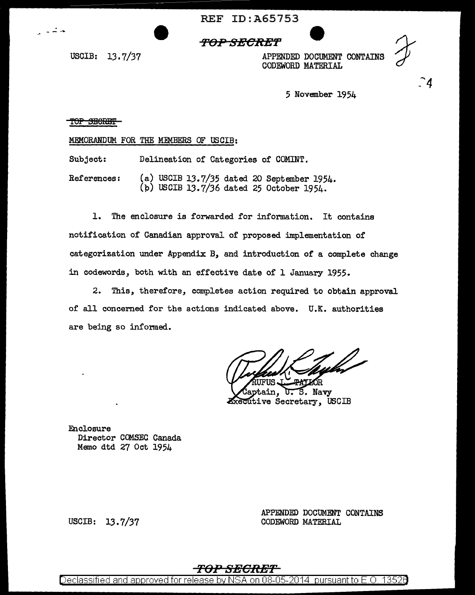**REF ID: A65753** 

## **'FOP SfffCR:ET**

USCIB: 13.7/37

- - ....

APPENDED DOCUMENT CONTAINS CODEWORD MATERIAL

 $\mathbf{A}$ 

5 November 1954

TOP SECRET

MEMORANDUM FOR THE MEMBERS OF USCIB:

Subject: Delineation of Categories of COMINT.

References: (a) USCIB 13.7/35 dated 20 September 1954. (p) USCIB 13.7/36 dated 25 October 1954.

1. The enclosure is forwarded for information. It contains notification of Canadian approval of proposed implementation of categorization under Appendix B, and introduction of a complete change in codewords, both with an effective date of l January 1955.

2. This, therefore, completes action required to obtain approval of all concerned for the actions indicated above. U.K. authorities are being so informed.

S. Navy ain. **Executive Secretary, USCIB** 

Enclosure Director OOMSEC Canada Memo dtd 27 Oct 1954

USCIB: 13.7/37

APPENDED DOCUMENT CONTAINS CODEWORD MATERIAL

## **TOl***<sup>1</sup>* **SECRET**

Declassified and approved for release by NSA on 08-05-2014 pursuant to E.O. 13526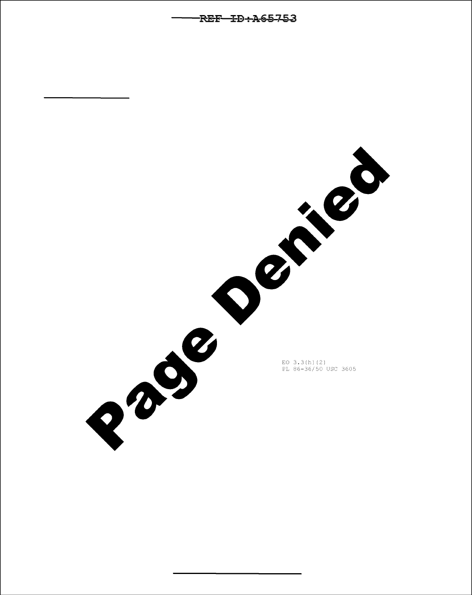Page Demand